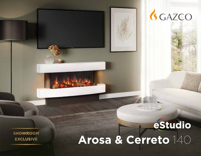# **Arosa & Cerreto** 140

GGAZCO

**SHOWROOM EXCLUSIVE**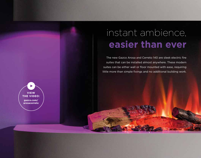# instant ambience, **easier than ever**

The new Gazco Arosa and Cerreto 140 are sleek electric fire suites that can be installed almost anywhere. These modern suites can be either wall or floor mounted with ease, requiring little more than simple fixings and no additional building work.

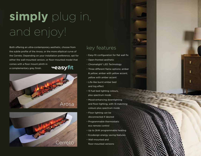# **simply** plug in, and enjoy!

Both offering an ultra-contemporary aesthetic, choose from the subtle profile of the Arosa, or the more elliptical curve of the Cerreto. Depending on your installation preference, opt for either the wall-mounted version, or floor-mounted model that comes with a floor mount plinth in **easyfit** 

a complementary grey finish.





### key features

- Easy-fit configuration for flat wall fix
- Open-fronted aesthetic
- Chromalight® LED Technology
- Three different flame options: amber & yellow; amber with yellow accent; yellow with amber accent
- Life-like burnt ember bed and log effect
- 13 fuel bed lighting colours, plus spectrum mode
- Mood-enhancing downlighting and floor-lighting, with 13 matching colours plus spectrum mode
- Floor lighting can be disconnected if desired
- Programmable thermostatic eco remote control
- Up to 2kW programmable heating
- Ecodesign energy saving features
- Wall-mounted and floor-mounted versions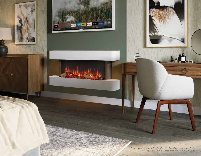*Front cover image: eStudio Cerreto 140 Floor Mounted Suite Above: eStudio Arosa 140 Wall Mounted Suite*

**CENT** 

en.

**M**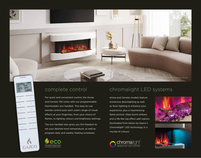**GAZCC** 

 $1111111$ 

For quick and convenient control, the Arosa and Cerreto 140 come with our programmable thermostatic eco handset. This easy-to-use remote control puts each suite's range of visual effects at your fingertips, from your choice of flames, to lighting colours and brightness settings.

The eco handset also gives you the freedom to set your desired room temperature, as well as program daily and weekly heating schedules.



## complete control chromalight LED systems

Arosa and Cerreto models feature immersive downlighting as well as floor-lighting to enhance your experience, plus a mesmerising flame picture. Glass burnt embers and a life-like log effect add realism, illuminated from below by Gazco's Chromalight® LED technology in a myriad of colours.





*eStudio Cerreto 140 Wall Mounted Suite*